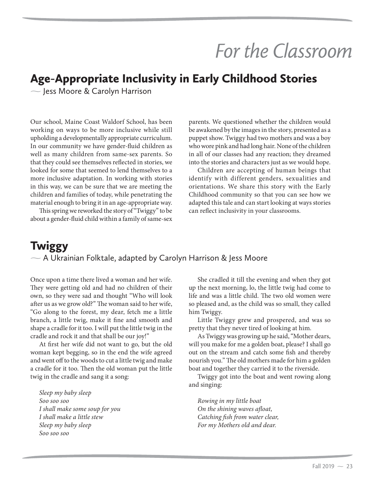## *For the Classroom*

## Age-Appropriate Inclusivity in Early Childhood Stories

- Jess Moore & Carolyn Harrison

Our school, Maine Coast Waldorf School, has been working on ways to be more inclusive while still upholding a developmentally appropriate curriculum. In our community we have gender-fluid children as well as many children from same-sex parents. So that they could see themselves reflected in stories, we looked for some that seemed to lend themselves to a more inclusive adaptation. In working with stories in this way, we can be sure that we are meeting the children and families of today, while penetrating the material enough to bring it in an age-appropriate way.

This spring we reworked the story of "Twiggy" to be about a gender-fluid child within a family of same-sex parents. We questioned whether the children would be awakened by the images in the story, presented as a puppet show. Twiggy had two mothers and was a boy who wore pink and had long hair. None of the children in all of our classes had any reaction; they dreamed into the stories and characters just as we would hope.

Children are accepting of human beings that identify with different genders, sexualities and orientations. We share this story with the Early Childhood community so that you can see how we adapted this tale and can start looking at ways stories can reflect inclusivity in your classrooms.

## **Twiggy** - A Ukrainian Folktale, adapted by Carolyn Harrison & Jess Moore

Once upon a time there lived a woman and her wife. They were getting old and had no children of their own, so they were sad and thought "Who will look after us as we grow old?" The woman said to her wife, "Go along to the forest, my dear, fetch me a little branch, a little twig, make it fine and smooth and shape a cradle for it too. I will put the little twig in the cradle and rock it and that shall be our joy!"

At first her wife did not want to go, but the old woman kept begging, so in the end the wife agreed and went off to the woods to cut a little twig and make a cradle for it too. Then the old woman put the little twig in the cradle and sang it a song:

*Sleep my baby sleep Soo soo soo I shall make some soup for you I shall make a little stew Sleep my baby sleep Soo soo soo* 

She cradled it till the evening and when they got up the next morning, lo, the little twig had come to life and was a little child. The two old women were so pleased and, as the child was so small, they called him Twiggy.

Little Twiggy grew and prospered, and was so pretty that they never tired of looking at him.

As Twiggy was growing up he said, "Mother dears, will you make for me a golden boat, please? I shall go out on the stream and catch some fish and thereby nourish you." The old mothers made for him a golden boat and together they carried it to the riverside.

Twiggy got into the boat and went rowing along and singing:

*Rowing in my little boat On the shining waves afloat, Catching fish from water clear, For my Mothers old and dear.*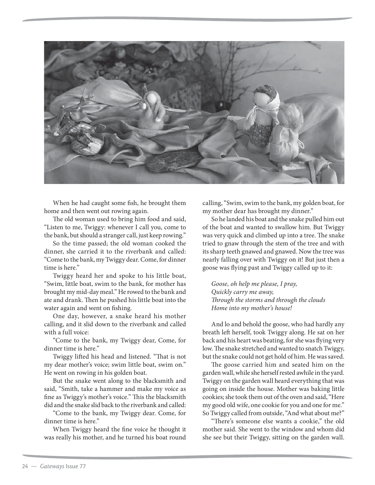

When he had caught some fish, he brought them home and then went out rowing again.

The old woman used to bring him food and said, "Listen to me, Twiggy: whenever I call you, come to the bank, but should a stranger call, just keep rowing."

So the time passed; the old woman cooked the dinner, she carried it to the riverbank and called: "Come to the bank, my Twiggy dear. Come, for dinner time is here."

Twiggy heard her and spoke to his little boat, "Swim, little boat, swim to the bank, for mother has brought my mid-day meal." He rowed to the bank and ate and drank. Then he pushed his little boat into the water again and went on fishing.

One day, however, a snake heard his mother calling, and it slid down to the riverbank and called with a full voice:

"Come to the bank, my Twiggy dear, Come, for dinner time is here."

Twiggy lifted his head and listened. "That is not my dear mother's voice; swim little boat, swim on." He went on rowing in his golden boat.

But the snake went along to the blacksmith and said, "Smith, take a hammer and make my voice as fine as Twiggy's mother's voice." This the blacksmith did and the snake slid back to the riverbank and called:

"Come to the bank, my Twiggy dear. Come, for dinner time is here."

When Twiggy heard the fine voice he thought it was really his mother, and he turned his boat round calling, "Swim, swim to the bank, my golden boat, for my mother dear has brought my dinner."

So he landed his boat and the snake pulled him out of the boat and wanted to swallow him. But Twiggy was very quick and climbed up into a tree. The snake tried to gnaw through the stem of the tree and with its sharp teeth gnawed and gnawed. Now the tree was nearly falling over with Twiggy on it! But just then a goose was flying past and Twiggy called up to it:

*Goose, oh help me please, I pray, Quickly carry me away, Through the storms and through the clouds Home into my mother's house!* 

And lo and behold the goose, who had hardly any breath left herself, took Twiggy along. He sat on her back and his heart was beating, for she was flying very low. The snake stretched and wanted to snatch Twiggy, but the snake could not get hold of him. He was saved.

The goose carried him and seated him on the garden wall, while she herself rested awhile in the yard. Twiggy on the garden wall heard everything that was going on inside the house. Mother was baking little cookies; she took them out of the oven and said, "Here my good old wife, one cookie for you and one for me." So Twiggy called from outside, "And what about me?"

"There's someone else wants a cookie," the old mother said. She went to the window and whom did she see but their Twiggy, sitting on the garden wall.